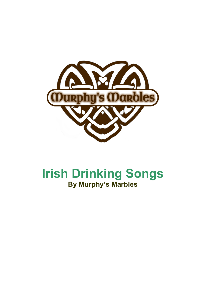

# **Irish Drinking Songs By Murphy's Marbles**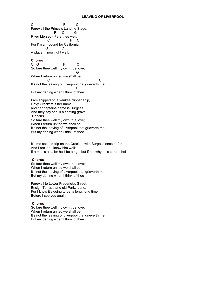# **LEAVING OF LIVERPOOL**

C F C Farewell the Prince's Landing Stage,<br>F C G F C G River Mersey - Fare thee well.<br>C F C F C For I'm am bound for California, **G** C A place I know right well.

# **Chorus**

C G F C So fare thee well my own true love; General Control of General Control Co When I return united we shall be. C F C It's not the leaving of Liverpool that grieverth me, **G** C But my darling when I think of thee.

I am shipped on a yankee clipper ship, Davy Crockett is her name, and her captains name is Burgess And they say she is a floating grave **Chorus** So fare thee well my own true love; When I return united we shall be. It's not the leaving of Liverpool that grieverth me, But my darling when I think of thee.

It's me second trip on the Crockett with Burgess once before And I reckon I know him well: If a man's a sailor he'll be alright but if not why he's sure in hell

#### **Chorus**

So fare thee well my own true love; When I return united we shall be. It's not the leaving of Liverpool that grieverth me, But my darling when I think of thee

Farewell to Lower Frederick's Street, Ensign Terrace and old Parky Lane; For I know it's going to be a long, long time Before I see you again.

#### **Chorus**

So fare thee well my own true love; When I return united we shall be. It's not the leaving of Liverpool that grieverth me, But my darling when I think of thee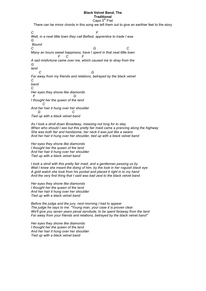# **Black Velvet Band, The**

**Traditional** Capo  $5<sup>th</sup>$  Fret

There can be minor chords in this song we left them out to give an earthier feel to the story

*C F Well, in a neat little town they call Belfast, apprentice to trade I was G Bound C G C Many an hours sweet happiness, have I spent in that neat little town F C F A sad misfortune came over me, which caused me to stray from the G land C G Far away from my friends and relations, betrayed by the black velvet C band C Her eyes they shone like diamonds F G I thought her the queen of the land C And her hair it hung over her shoulder G C Tied up with a black velvet band* 

*As I took a stroll down Broadway, meaning not long for to stay When who should I see but this pretty fair maid came a prancing along the highway She was both fair and handsome, her neck it was just like a swans And her hair it hung over her shoulder, tied up with a black velvet band* 

*Her eyes they shone like diamonds I thought her the queen of the land And her hair it hung over her shoulder Tied up with a black velvet band* 

*I took a stroll with this pretty fair maid, and a gentleman passing us by Well I knew she meant the doing of him, by the look in her roguish black eye A gold watch she took from his pocket and placed it right in to my hand And the very first thing that I said was bad zest to the black velvet band* 

*Her eyes they shone like diamonds I thought her the queen of the land And her hair it hung over her shoulder Tied up with a black velvet band* 

*Before the judge and the jury, next morning I had to appear The judge he says to me: "Young man, your case it is proven clear We'll give you seven years penal servitude, to be spent faraway from the land Far away from your friends and relations, betrayed by the black velvet band"* 

*Her eyes they shone like diamonds I thought her the queen of the land And her hair it hung over her shoulder Tied up with a black velvet band*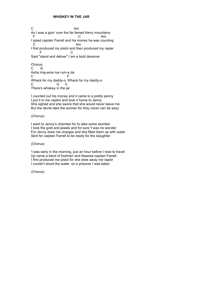# **WHISKEY IN THE JAR**

C Am As I was a goin' over the far famed Kerry mountains<br>F Am F C Am I spied captain Farrell and his money he was counting C Am I first produced my pistol and then produced my rapier F C Said "stand and deliver" I am a bold deceiver

Chorus: C G Asha ring-ama rue rum-a da C F Whack for my daddy-o. Whack for my daddy-o C G C There's whiskey in the jar

I counted out his money and it came to a pretty penny I put it in me napkin and took it home to Jenny She sighed and she swore that she would never leave me But the devils take the women for they never can be easy

# (Chorus)

I went to Jenny's chamber for to take some slumber I took the gold and jewels and for sure 't was no wonder For Jenny drew me charges and she filled them up with water Sent for captain Farrell to be ready for the slaughter

### (Chorus)

't was early in the morning, just an hour before I rose to travel Up came a band of footmen and likewise captain Farrell I first produced me pistol for she stole away me rapier I couldn't shoot the water, so a prisoner I was taken

(Chorus)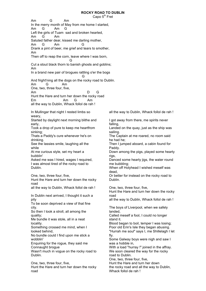Capo  $5<sup>th</sup>$  Fret

Am G Am In the merry month of May from me home I started, Am G Am G Left the girls of Tuam sad and broken hearted. Am G Am Saluted father dear, kissed me darling mother, Am G Am G Drank a pint of beer, me grief and tears to smother, Am Then off to reap the corn, leave where I was born, General Control of General Co Cut a stout black thorn to banish ghosts and goblins; Am In a brand new pair of brogues rattling o'er the bogs General Control of the Control of General Co And fright'ning all the dogs on the rocky road to Dublin. Am G Am One, two, three four, five, Am D G Hunt the Hare and turn her down the rocky road Em Am G Am all the way to Dublin, Whack follol de rah ! In Mullingar that night I rested limbs so weary, Started by daylight next morning blithe and early, Took a drop of pure to keep me heartfrom sinking; Thats a Paddy's cure whenever he's on drinking. See the lassies smile, laughing all the while At me curious style, set my heart a bubblin' Asked me was I hired, wages I required, I was almost tired of the rocky road to Dublin. One, two, three four, five, Hunt the Hare and turn her down the rocky road all the way to Dublin, Whack follol de rah ! In Dublin next arrived, I thought it such a pity To be soon deprived a view of that fine city. So then I took a stroll, all among the quality; Me bundle it was stole, all in a neat locality. Something crossed me mind, when I looked behind, No bundle could I find upon me stick a wobblin' Enquiring for the rogue, they said me Connaught brogue Wasn't much in vogue on the rocky road to Dublin. One, two, three four, five, Hunt the Hare and turn her down the rocky road falling, sailing. he had he; Paddy. rigs, me bubbling; dead, Dublin. road landed, stand it. fly. was a hobble in, road to Dublin.

all the way to Dublin, Whack follol de rah ! I got away from there, me spirits never Landed on the quay, just as the ship was The Captain at me roared, no room said Then I jumped aboard, a cabin found for Down among the pigs, played some hearty Danced some hearty jigs, the water round When off Holyhead I wished meself was Or better for instead on the rocky road to One, two, three four, five, Hunt the Hare and turn her down the rocky all the way to Dublin, Whack follol de rah ! The boys of Liverpool, when we safely Called meself a fool, I could no longer Blood began to boil, temper I was losing; Poor old Erin's Isle they began abusing. "Hurrah me soul" says I, me Shillelagh I let Some Galway boys were nigh and saw I With a load "hurray !" joined in the affray. We soon cleared the way for the rocky One, two, three four, five,

Hunt the Hare and turn her down the rocky road and all the way to Dublin, Whack follol de rah !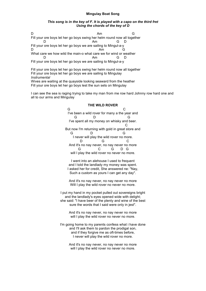#### **Mingulay Boat Song**

#### *This song is in the key of F. It is played with a capo on the third fret Using the chords of the key of D*

D Am G Fill your ore boys let her go boys swing her helm round now all together D Am G D Fill your ore boys let her go boys we are sailing to Mingul-a-y D Am G What care we how wild the main-o what care we for wind or weather D Am G D Fill your ore boys let her go boys we are sailing to Mingul-a-y

Fill your ore boys let her go boys swing her helm round now all together Fill your ore boys let her go boys we are sailing to Mingulay *Instrumental*  Wives are waiting at the quayside looking seaward from the heather

Fill your ore boys let her go boys lest the sun sets on Mingulay

I can see the sea is raging trying to take my man from me row hard Johnny row hard one and all to our arms and Mingulay

#### **THE WILD ROVER**

and the contract of the contract of the contract of the contract of the contract of the contract of the contract of the contract of the contract of the contract of the contract of the contract of the contract of the contra I've been a wild rover for many a the year and G D G I've spent all my money on whisky and beer. **C** C But now I'm returning with gold in great store and G D G I never will play the wild rover no more. D G C And it's no nay never, no nay never no more G C G D G will I play the wild rover no never no more.

> I went into an alehouse I used to frequent and I told the landlady my money was spent. I asked her for credit, She answered ne: "Nay, Such a custom as yours I can get any day".

And it's no nay never, no nay never no more Will I play the wild rover no never no more.

I put my hand in my pocket pulled out sovereigns bright and the landlady's eyes opened wide with delight; she said: "I have beer of the plenty and wine of the best sure the words that I said were only in jest".

> And it's no nay never, no nay never no more will I play the wild rover no never no more.

I'm going home to my parents confess what i have done and I'll ask them to pardon the prodigal son, and if they forgive me as oft-times before, I never will play the wild rover no more.

> And it's no nay never, no nay never no more will I play the wild rover no never no more.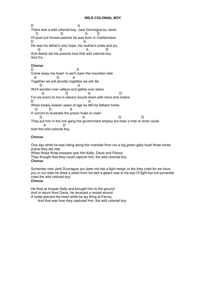# **WILD COLONIAL BOY**

D A There was a wild colonial boy, Jack Dunnague by name G D A D Of poor but honest parents he was born in Castlemaine D A He was his father's only hope, his mother's pride and joy G D A D And dearly did his parents love that wild colonial boy And it's.. **Chorus** D A Come away me heart 'is we'll roam the mountain side

 G D A Together we will plunder together we will die D A We'll wonder over valleys and gallop over plans G D A D For we scorn to live in slavery bound down with irons and chains D A When barely sixteen years of age he left his fathers home G D A A convict to Australia the prison hulks to roam D A G D They put him in the iron gang the government employ but near a mile of chain could A D

hold the wild colonial boy.

# **Chorus**

One day while he was riding along the riverside from out a big green gelly bush three horse police they did ride When those three troopers saw him Kelly, Davis and Fitzroy They thought that they could capture him, the wild colonial boy

**Chorus**

Surrender now Jack Dunnague you dare not risk a fight resign or die they cried for we have you in our sites he drew a pistol from his belt a gleam was in his eye I'll fight but not surrender cried the wild colonial boy **Chorus**

He fired at trooper Kelly and brought him to the ground And in return from Davis, he received a mortal wound A bullet pierced his heart while he lay firing at Fitzroy

And that was how they captured him, the wild colonial boy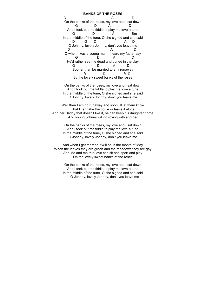**BANKS OF THE ROSES** D A D On the banks of the roses, my love and I sat down G D A D And I took out me fiddle to play me love a tune G D A Bm In the middle of the tune, O she sighed and she said D G D A D O Johnny, lovely Johnny, don't you leave me D A D O when I was a young man, I heard my father say G D A D He'd rather see me dead and buried in the clay G D A D Sooner than be married to any runaway G D A D By the lovely sweet banks of the roses

> On the banks of the roses, my love and I sat down And I took out me fiddle to play me love a tune In the middle of the tune, O she sighed and she said O Johnny, lovely Johnny, don't you leave me

Well then I am no runaway and soon I'll let them know That I can take the bottle or leave it alone And her Daddy that doesn't like it, he can keep his daughter home And young Johnny will go roving with another

> On the banks of the roses, my love and I sat down And I took out me fiddle to play me love a tune In the middle of the tune, O she sighed and she said O Johnny, lovely Johnny, don't you leave me

And when I get married, t'will be in the month of May When the leaves they are green and the meadows they are gay And Me and me true love can sit and sport and play On the lovely sweet banks of the roses

On the banks of the roses, my love and I sat down And I took out me fiddle to play me love a tune In the middle of the tune, O she sighed and she said O Johnny, lovely Johnny, don't you leave me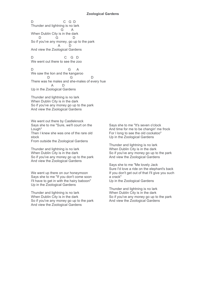D C G D Thunder and lightning is no lark G A When Dublin City is in the dark D G D So if you've any money, go up to the park A D And view the Zoological Gardens

D C G D We went out there to see the zoo

D G A We saw the lion and the kangaroo D G D There was he males and she-males of every hue A D Up in the Zoological Gardens

Thunder and lightning is no lark When Dublin City is in the dark So if you've any money go up to the park And view the Zoological Gardens

We went out there by Castleknock Says she to me "Sure, we'll court on the Lough"

Then I knew she was one of the rare old stock

From outside the Zoological Gardens

Thunder and lightning is no lark When Dublin City is in the dark So if you've any money go up to the park And view the Zoological Gardens

We went up there on our honeymoon Says she to me "If you don't come soon I'll have to get in with the hairy baboon" Up in the Zoological Gardens

Thunder and lightning is no lark When Dublin City is in the dark So if you've any money go up to the park And view the Zoological Gardens

Says she to me "It's seven o'clock And time for me to be changin' me frock For I long to see the old cockatoo" Up in the Zoological Gardens

Thunder and lightning is no lark When Dublin City is in the dark So if you've any money go up to the park And view the Zoological Gardens

Says she to me "Me lovely Jack Sure I'd love a ride on the elephant's back If you don't get out of that I'll give you such a crack" Up in the Zoological Gardens

Thunder and lightning is no lark When Dublin City is in the dark So if you've any money go up to the park And view the Zoological Gardens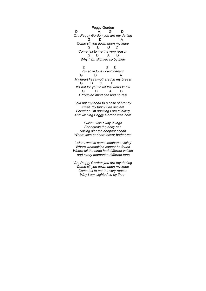Peggy Gordon D A G D *Oh, Peggy Gordon you are my darling* GD A *Come sit you down upon my knee* G D G D *Come tell to me the very reason* G D A D *Why I am slighted so by thee* 

 D G D *I'm so in love I can't deny it* G D A *My heart lies smothered in my breast* G D G D *It's not for you to let the world know*  G D A D *A troubled mind can find no rest* 

> *I did put my head to a cask of brandy It was my fancy I do declare For when I'm drinking I am thinking And wishing Peggy Gordon was here*

> *I wish I was away in Ingo Far across the briny sea Sailing o'er the deepest ocean Where love nor care never bother me*

*I wish I was in some lonesome valley Where womankind cannot be found Where all the birds had different voices and every moment a different tune*

*Oh, Peggy Gordon you are my darling Come sit you down upon my knee Come tell to me the very reason Why I am slighted so by thee*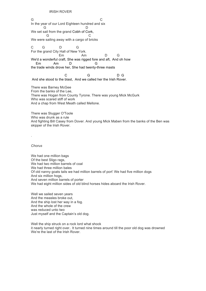G C In the year of our Lord Eighteen hundred and six G D We set sail from the grand Cobh of Cork, **G** C We were sailing away with a cargo of bricks C G D G For the grand City Hall of New York. Em Am D G We'd a wonderful craft, She was rigged fore and aft, And oh how Em Am D G the trade winds drove her, She had twenty-three masts C G D G And she stood to the blast, And we called her the Irish Rover. There was Barney McGee From the banks of the Lee, There was Hogan from County Tyrone. There was young Mick McGurk Who was scared stiff of work

And a chap from West Meath called Mellone.

There was Slugger O'Toole Who was drunk as a rule And fighting Bill Casey from Dover. And young Mick Maben from the banks of the Ben was skipper of the Irish Rover.

### *Chorus*

.

We had one million bags Of the best Sligo rags, We had two million barrels of coal We had three million bales Of old nanny goats tails we had million barrels of port' We had five million dogs And six million hogs, And seven million barrels of porter We had eight million sides of old blind horses hides aboard the Irish Rover.

Well we sailed seven years And the measles broke out, And the ship lost her way in a fog. And the whole of the crew was reduced unto two Just myself and the Captain's old dog.

Well the ship struck on a rock lord what shock it nearly turned right over.. It turned nine times around till the poor old dog was drowned We're the last of the Irish Rover.